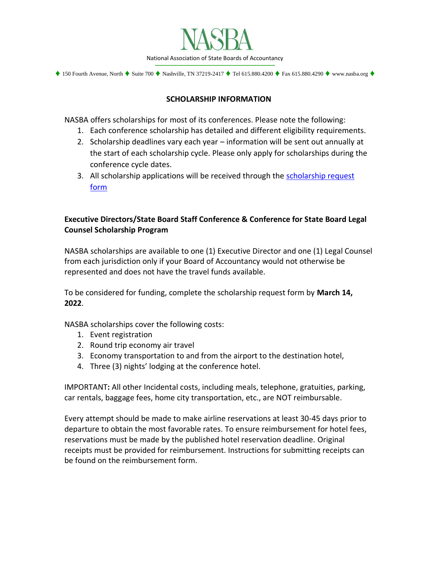

 $\blacklozenge$  150 Fourth Avenue, North  $\blacklozenge$  Suite 700  $\blacklozenge$  Nashville, TN 37219-2417  $\blacklozenge$  Tel 615.880.4200  $\blacklozenge$  Fax 615.880.4290  $\blacklozenge$  www.nasba.org  $\blacklozenge$ 

## **SCHOLARSHIP INFORMATION**

NASBA offers scholarships for most of its conferences. Please note the following:

- 1. Each conference scholarship has detailed and different eligibility requirements.
- 2. Scholarship deadlines vary each year information will be sent out annually at the start of each scholarship cycle. Please only apply for scholarships during the conference cycle dates.
- 3. All scholarship applications will be received through the scholarship request [form](https://app.smartsheet.com/b/form/28d4a946e8a745a89b4cc0e5d5d0cc8a)

# **Executive Directors/State Board Staff Conference & Conference for State Board Legal Counsel Scholarship Program**

NASBA scholarships are available to one (1) Executive Director and one (1) Legal Counsel from each jurisdiction only if your Board of Accountancy would not otherwise be represented and does not have the travel funds available.

To be considered for funding, complete the scholarship request form by **March 14, 2022**.

NASBA scholarships cover the following costs:

- 1. Event registration
- 2. Round trip economy air travel
- 3. Economy transportation to and from the airport to the destination hotel,
- 4. Three (3) nights' lodging at the conference hotel.

IMPORTANT**:** All other Incidental costs, including meals, telephone, gratuities, parking, car rentals, baggage fees, home city transportation, etc., are NOT reimbursable.

Every attempt should be made to make airline reservations at least 30-45 days prior to departure to obtain the most favorable rates. To ensure reimbursement for hotel fees, reservations must be made by the published hotel reservation deadline. Original receipts must be provided for reimbursement. Instructions for submitting receipts can be found on the reimbursement form.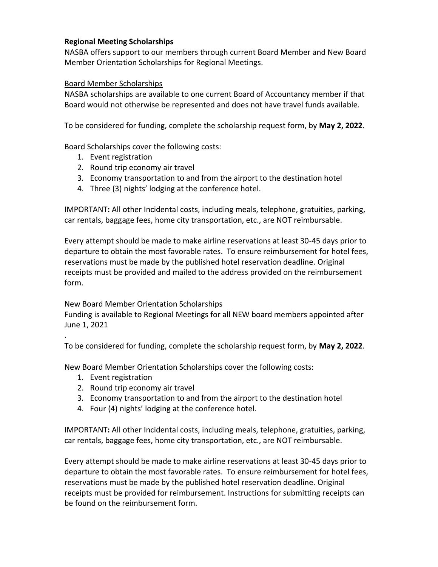## **Regional Meeting Scholarships**

NASBA offers support to our members through current Board Member and New Board Member Orientation Scholarships for Regional Meetings.

### Board Member Scholarships

NASBA scholarships are available to one current Board of Accountancy member if that Board would not otherwise be represented and does not have travel funds available.

To be considered for funding, complete the scholarship request form, by **May 2, 2022**.

Board Scholarships cover the following costs:

- 1. Event registration
- 2. Round trip economy air travel
- 3. Economy transportation to and from the airport to the destination hotel
- 4. Three (3) nights' lodging at the conference hotel.

IMPORTANT**:** All other Incidental costs, including meals, telephone, gratuities, parking, car rentals, baggage fees, home city transportation, etc., are NOT reimbursable.

Every attempt should be made to make airline reservations at least 30-45 days prior to departure to obtain the most favorable rates. To ensure reimbursement for hotel fees, reservations must be made by the published hotel reservation deadline. Original receipts must be provided and mailed to the address provided on the reimbursement form.

#### New Board Member Orientation Scholarships

Funding is available to Regional Meetings for all NEW board members appointed after June 1, 2021

To be considered for funding, complete the scholarship request form, by **May 2, 2022**.

New Board Member Orientation Scholarships cover the following costs:

1. Event registration

.

- 2. Round trip economy air travel
- 3. Economy transportation to and from the airport to the destination hotel
- 4. Four (4) nights' lodging at the conference hotel.

IMPORTANT**:** All other Incidental costs, including meals, telephone, gratuities, parking, car rentals, baggage fees, home city transportation, etc., are NOT reimbursable.

Every attempt should be made to make airline reservations at least 30-45 days prior to departure to obtain the most favorable rates. To ensure reimbursement for hotel fees, reservations must be made by the published hotel reservation deadline. Original receipts must be provided for reimbursement. Instructions for submitting receipts can be found on the reimbursement form.